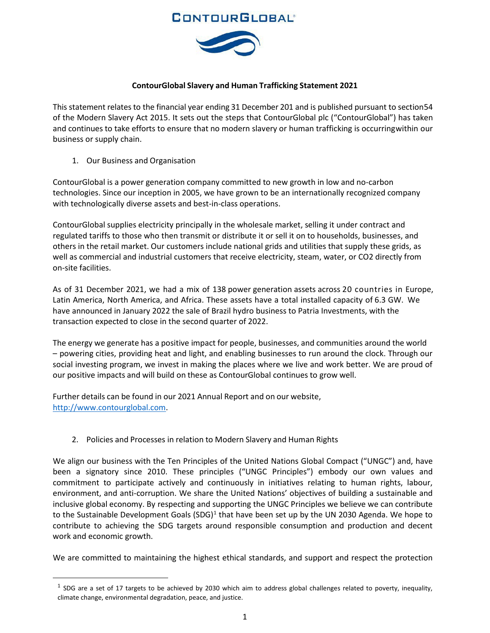## **CONTOURGLOBAL®**



#### **ContourGlobal Slavery and Human Trafficking Statement 2021**

This statement relates to the financial year ending 31 December 201 and is published pursuant to section54 of the Modern Slavery Act 2015. It sets out the steps that ContourGlobal plc ("ContourGlobal") has taken and continues to take efforts to ensure that no modern slavery or human trafficking is occurringwithin our business or supply chain.

1. Our Business and Organisation

ContourGlobal is a power generation company committed to new growth in low and no-carbon technologies. Since our inception in 2005, we have grown to be an internationally recognized company with technologically diverse assets and best-in-class operations.

ContourGlobal supplies electricity principally in the wholesale market, selling it under contract and regulated tariffs to those who then transmit or distribute it or sell it on to households, businesses, and others in the retail market. Our customers include national grids and utilities that supply these grids, as well as commercial and industrial customers that receive electricity, steam, water, or CO2 directly from on-site facilities.

As of 31 December 2021, we had a mix of 138 power generation assets across 20 countries in Europe, Latin America, North America, and Africa. These assets have a total installed capacity of 6.3 GW. We have announced in January 2022 the sale of Brazil hydro business to Patria Investments, with the transaction expected to close in the second quarter of 2022.

The energy we generate has a positive impact for people, businesses, and communities around the world – powering cities, providing heat and light, and enabling businesses to run around the clock. Through our social investing program, we invest in making the places where we live and work better. We are proud of our positive impacts and will build on these as ContourGlobal continues to grow well.

Further details can be found in our 2021 Annual Report and on our website, [http://www.contourglobal.com.](http://www.contourglobal.com/)

2. Policies and Processes in relation to Modern Slavery and Human Rights

We align our business with the Ten Principles of the United Nations Global Compact ("UNGC") and, have been a signatory since 2010. These principles ("UNGC Principles") embody our own values and commitment to participate actively and continuously in initiatives relating to human rights, labour, environment, and anti-corruption. We share the United Nations' objectives of building a sustainable and inclusive global economy. By respecting and supporting the UNGC Principles we believe we can contribute to the Sustainable Development Goals  $(SDG)^1$  $(SDG)^1$  that have been set up by the UN 2030 Agenda. We hope to contribute to achieving the SDG targets around responsible consumption and production and decent work and economic growth.

We are committed to maintaining the highest ethical standards, and support and respect the protection

<span id="page-0-0"></span> $1$  SDG are a set of 17 targets to be achieved by 2030 which aim to address global challenges related to poverty, inequality, climate change, environmental degradation, peace, and justice.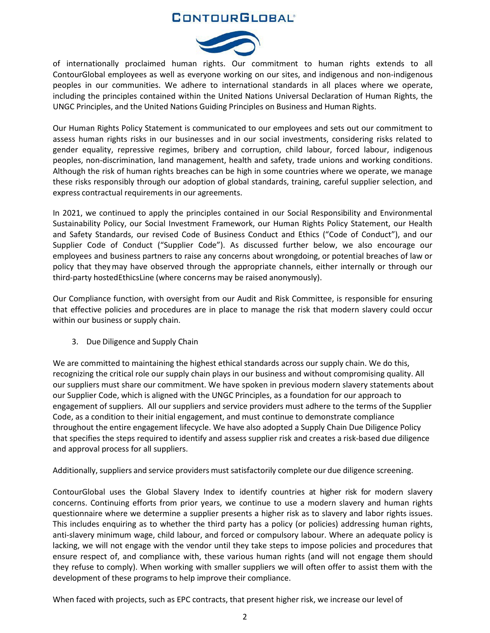## **CONTOURGLOBAL**



of internationally proclaimed human rights. Our commitment to human rights extends to all ContourGlobal employees as well as everyone working on our sites, and indigenous and non-indigenous peoples in our communities. We adhere to international standards in all places where we operate, including the principles contained within the United Nations Universal Declaration of Human Rights, the UNGC Principles, and the United Nations Guiding Principles on Business and Human Rights.

Our Human Rights Policy Statement is communicated to our employees and sets out our commitment to assess human rights risks in our businesses and in our social investments, considering risks related to gender equality, repressive regimes, bribery and corruption, child labour, forced labour, indigenous peoples, non-discrimination, land management, health and safety, trade unions and working conditions. Although the risk of human rights breaches can be high in some countries where we operate, we manage these risks responsibly through our adoption of global standards, training, careful supplier selection, and express contractual requirements in our agreements.

In 2021, we continued to apply the principles contained in our Social Responsibility and Environmental Sustainability Policy, our Social Investment Framework, our Human Rights Policy Statement, our Health and Safety Standards, our revised Code of Business Conduct and Ethics ("Code of Conduct"), and our Supplier Code of Conduct ("Supplier Code"). As discussed further below, we also encourage our employees and business partners to raise any concerns about wrongdoing, or potential breaches of law or policy that theymay have observed through the appropriate channels, either internally or through our third-party hostedEthicsLine (where concerns may be raised anonymously).

Our Compliance function, with oversight from our Audit and Risk Committee, is responsible for ensuring that effective policies and procedures are in place to manage the risk that modern slavery could occur within our business or supply chain.

3. Due Diligence and Supply Chain

We are committed to maintaining the highest ethical standards across our supply chain. We do this, recognizing the critical role our supply chain plays in our business and without compromising quality. All our suppliers must share our commitment. We have spoken in previous modern slavery statements about our Supplier Code, which is aligned with the UNGC Principles, as a foundation for our approach to engagement of suppliers. All our suppliers and service providers must adhere to the terms of the Supplier Code, as a condition to their initial engagement, and must continue to demonstrate compliance throughout the entire engagement lifecycle. We have also adopted a Supply Chain Due Diligence Policy that specifies the steps required to identify and assess supplier risk and creates a risk-based due diligence and approval process for all suppliers.

Additionally, suppliers and service providers must satisfactorily complete our due diligence screening.

ContourGlobal uses the Global Slavery Index to identify countries at higher risk for modern slavery concerns. Continuing efforts from prior years, we continue to use a modern slavery and human rights questionnaire where we determine a supplier presents a higher risk as to slavery and labor rights issues. This includes enquiring as to whether the third party has a policy (or policies) addressing human rights, anti-slavery minimum wage, child labour, and forced or compulsory labour. Where an adequate policy is lacking, we will not engage with the vendor until they take steps to impose policies and procedures that ensure respect of, and compliance with, these various human rights (and will not engage them should they refuse to comply). When working with smaller suppliers we will often offer to assist them with the development of these programs to help improve their compliance.

When faced with projects, such as EPC contracts, that present higher risk, we increase our level of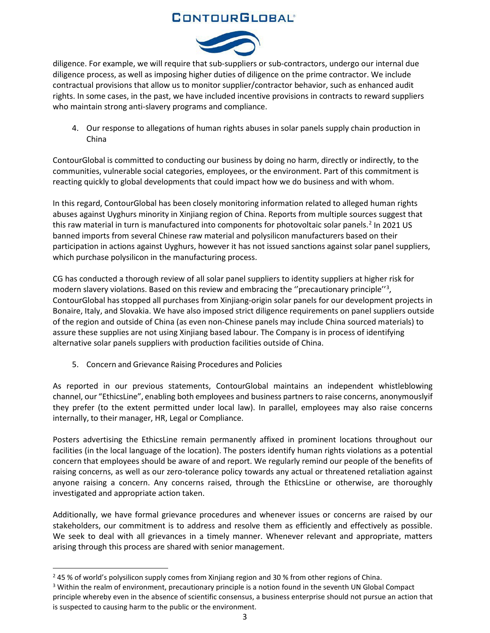# **CONTOURGLOBAL®**



diligence. For example, we will require that sub-suppliers or sub-contractors, undergo our internal due diligence process, as well as imposing higher duties of diligence on the prime contractor. We include contractual provisions that allow us to monitor supplier/contractor behavior, such as enhanced audit rights. In some cases, in the past, we have included incentive provisions in contracts to reward suppliers who maintain strong anti-slavery programs and compliance.

4. Our response to allegations of human rights abuses in solar panels supply chain production in China

ContourGlobal is committed to conducting our business by doing no harm, directly or indirectly, to the communities, vulnerable social categories, employees, or the environment. Part of this commitment is reacting quickly to global developments that could impact how we do business and with whom.

In this regard, ContourGlobal has been closely monitoring information related to alleged human rights abuses against Uyghurs minority in Xinjiang region of China. Reports from multiple sources suggest that this raw material in turn is manufactured into components for photovoltaic solar panels.<sup>[2](#page-2-0)</sup> In 2021 US banned imports from several Chinese raw material and polysilicon manufacturers based on their participation in actions against Uyghurs, however it has not issued sanctions against solar panel suppliers, which purchase polysilicon in the manufacturing process.

CG has conducted a thorough review of all solar panel suppliers to identity suppliers at higher risk for modern slavery violations. Based on this review and embracing the "precautionary principle"<sup>[3](#page-2-1)</sup>, ContourGlobal has stopped all purchases from Xinjiang-origin solar panels for our development projects in Bonaire, Italy, and Slovakia. We have also imposed strict diligence requirements on panel suppliers outside of the region and outside of China (as even non-Chinese panels may include China sourced materials) to assure these supplies are not using Xinjiang based labour. The Company is in process of identifying alternative solar panels suppliers with production facilities outside of China.

5. Concern and Grievance Raising Procedures and Policies

As reported in our previous statements, ContourGlobal maintains an independent whistleblowing channel, our "EthicsLine", enabling both employees and business partners to raise concerns, anonymouslyif they prefer (to the extent permitted under local law). In parallel, employees may also raise concerns internally, to their manager, HR, Legal or Compliance.

Posters advertising the EthicsLine remain permanently affixed in prominent locations throughout our facilities (in the local language of the location). The posters identify human rights violations as a potential concern that employees should be aware of and report. We regularly remind our people of the benefits of raising concerns, as well as our zero-tolerance policy towards any actual or threatened retaliation against anyone raising a concern. Any concerns raised, through the EthicsLine or otherwise, are thoroughly investigated and appropriate action taken.

Additionally, we have formal grievance procedures and whenever issues or concerns are raised by our stakeholders, our commitment is to address and resolve them as efficiently and effectively as possible. We seek to deal with all grievances in a timely manner. Whenever relevant and appropriate, matters arising through this process are shared with senior management.

<span id="page-2-0"></span> $245$  % of world's polysilicon supply comes from Xinjiang region and 30 % from other regions of China.

<span id="page-2-1"></span><sup>&</sup>lt;sup>3</sup> Within the realm of environment, precautionary principle is a notion found in the seventh UN Global Compact principle whereby even in the absence of scientific consensus, a business enterprise should not pursue an action that is suspected to causing harm to the public or the environment.